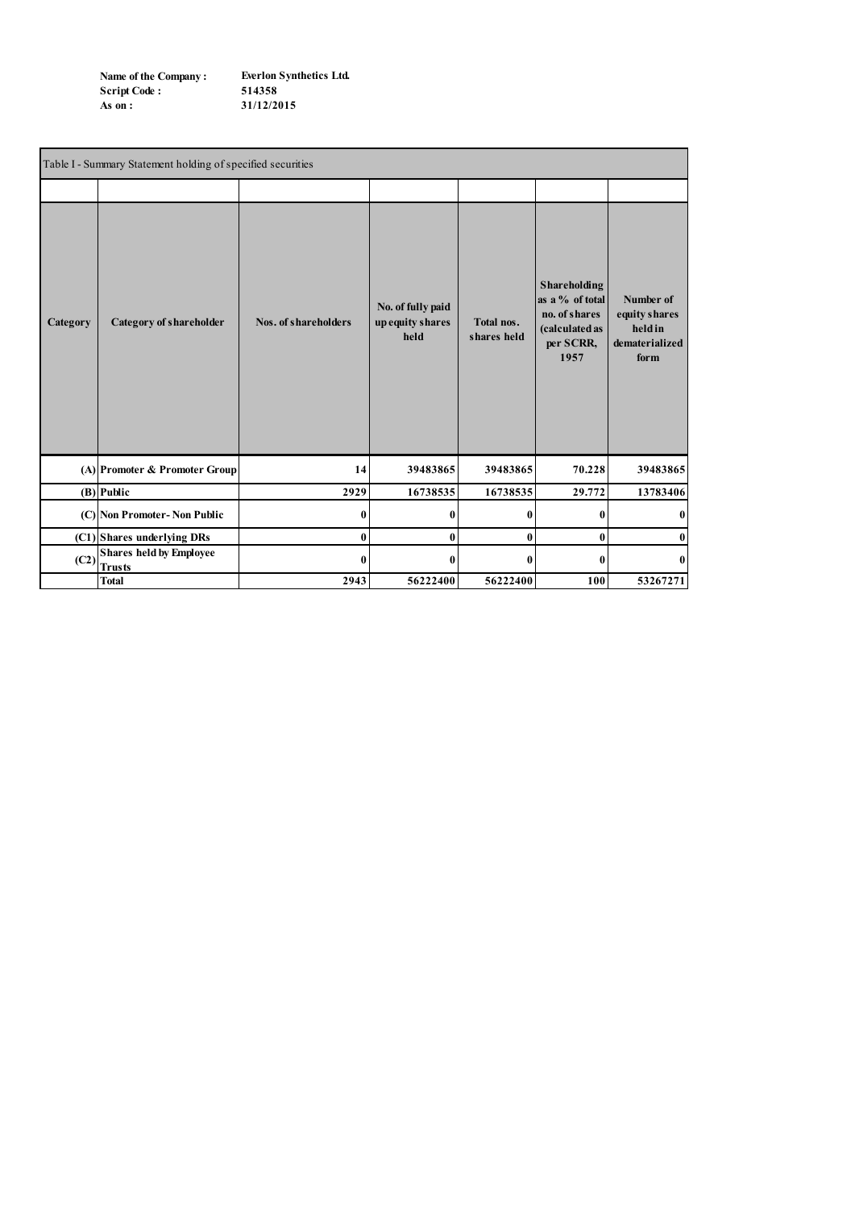| Name of the Company: | <b>Everlon Synthetics Ltd.</b> |
|----------------------|--------------------------------|
| <b>Script Code:</b>  | 514358                         |
| As on :              | 31/12/2015                     |

| Table I - Summary Statement holding of specified securities |                                                 |                      |                                               |                           |                                                                                         |                                                                 |  |  |  |
|-------------------------------------------------------------|-------------------------------------------------|----------------------|-----------------------------------------------|---------------------------|-----------------------------------------------------------------------------------------|-----------------------------------------------------------------|--|--|--|
|                                                             |                                                 |                      |                                               |                           |                                                                                         |                                                                 |  |  |  |
| Category                                                    | <b>Category of shareholder</b>                  | Nos. of shareholders | No. of fully paid<br>up equity shares<br>held | Total nos.<br>shares held | Shareholding<br>as a % of total<br>no. of shares<br>(calculated as<br>per SCRR,<br>1957 | Number of<br>equity shares<br>held in<br>dematerialized<br>form |  |  |  |
|                                                             | (A) Promoter & Promoter Group                   | 14                   | 39483865                                      | 39483865                  | 70.228                                                                                  | 39483865                                                        |  |  |  |
|                                                             | $(B)$ Public                                    | 2929                 | 16738535                                      | 16738535                  | 29.772                                                                                  | 13783406                                                        |  |  |  |
|                                                             | (C) Non Promoter- Non Public                    | $\mathbf{0}$         | $\mathbf{0}$                                  | 0                         | 0                                                                                       | $\bf{0}$                                                        |  |  |  |
|                                                             | (C1) Shares underlying DRs                      | $\bf{0}$             | $\bf{0}$                                      | $\bf{0}$                  | $\bf{0}$                                                                                | $\bf{0}$                                                        |  |  |  |
| (C2)                                                        | <b>Shares held by Employee</b><br><b>Trusts</b> | $\mathbf{0}$         | $\mathbf{0}$                                  | 0                         | 0                                                                                       | $\bf{0}$                                                        |  |  |  |
|                                                             | <b>Total</b>                                    | 2943                 | 56222400                                      | 56222400                  | 100                                                                                     | 53267271                                                        |  |  |  |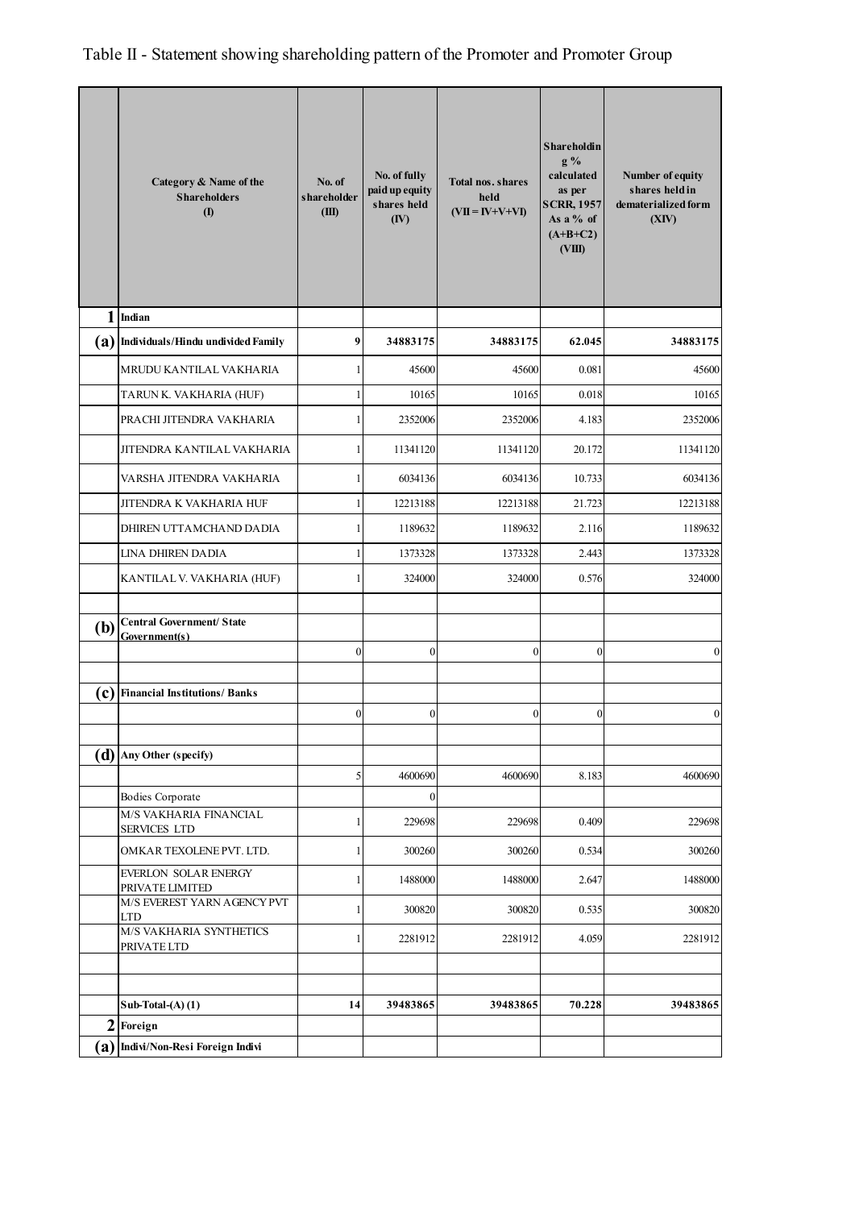Table II - Statement showing shareholding pattern of the Promoter and Promoter Group

|     | Category & Name of the<br><b>Shareholders</b><br><b>(I)</b> | No. of<br>shareholder<br>(III) | No. of fully<br>paid up equity<br>shares held<br>(IV) | <b>Total nos. shares</b><br>held<br>$(VII = IV+V+VI)$ | <b>Shareholdin</b><br>$g\%$<br>calculated<br>as per<br><b>SCRR, 1957</b><br>As a $%$ of<br>$(A+B+C2)$<br>(VIII) | Number of equity<br>shares held in<br>dematerialized form<br>(XIV) |
|-----|-------------------------------------------------------------|--------------------------------|-------------------------------------------------------|-------------------------------------------------------|-----------------------------------------------------------------------------------------------------------------|--------------------------------------------------------------------|
| 1   | Indian                                                      |                                |                                                       |                                                       |                                                                                                                 |                                                                    |
|     | (a) Individuals/Hindu undivided Family                      | 9                              | 34883175                                              | 34883175                                              | 62.045                                                                                                          | 34883175                                                           |
|     | MRUDU KANTILAL VAKHARIA                                     | 1                              | 45600                                                 | 45600                                                 | 0.081                                                                                                           | 45600                                                              |
|     | TARUN K. VAKHARIA (HUF)                                     | $\mathbf{1}$                   | 10165                                                 | 10165                                                 | 0.018                                                                                                           | 10165                                                              |
|     | PRACHI JITENDRA VAKHARIA                                    | $\mathbf{1}$                   | 2352006                                               | 2352006                                               | 4.183                                                                                                           | 2352006                                                            |
|     | JITENDRA KANTILAL VAKHARIA                                  | 1                              | 11341120                                              | 11341120                                              | 20.172                                                                                                          | 11341120                                                           |
|     | VARSHA JITENDRA VAKHARIA                                    | 1                              | 6034136                                               | 6034136                                               | 10.733                                                                                                          | 6034136                                                            |
|     | JITENDRA K VAKHARIA HUF                                     | $\mathbf{1}$                   | 12213188                                              | 12213188                                              | 21.723                                                                                                          | 12213188                                                           |
|     | DHIREN UTTAMCHAND DADIA                                     | 1                              | 1189632                                               | 1189632                                               | 2.116                                                                                                           | 1189632                                                            |
|     | LINA DHIREN DADIA                                           | $\mathbf{1}$                   | 1373328                                               | 1373328                                               | 2.443                                                                                                           | 1373328                                                            |
|     | KANTILAL V. VAKHARIA (HUF)                                  | 1                              | 324000                                                | 324000                                                | 0.576                                                                                                           | 324000                                                             |
| (b) | <b>Central Government/ State</b><br>Government(s)           | $\boldsymbol{0}$               | $\mathbf{0}$                                          | $\mathbf{0}$                                          | $\overline{0}$                                                                                                  | $\mathbf{0}$                                                       |
|     | (c) Financial Institutions/ Banks                           |                                |                                                       |                                                       |                                                                                                                 |                                                                    |
|     |                                                             | $\boldsymbol{0}$               | $\boldsymbol{0}$                                      | $\boldsymbol{0}$                                      | $\overline{0}$                                                                                                  | $\boldsymbol{0}$                                                   |
|     | $(d)$ Any Other (specify)                                   |                                |                                                       |                                                       |                                                                                                                 |                                                                    |
|     |                                                             | 5                              | 4600690                                               | 4600690                                               | 8.183                                                                                                           | 4600690                                                            |
|     | Bodies Corporate                                            |                                | $\boldsymbol{0}$                                      |                                                       |                                                                                                                 |                                                                    |
|     | M/S VAKHARIA FINANCIAL<br><b>SERVICES LTD</b>               | $\mathbf{1}$                   | 229698                                                | 229698                                                | 0.409                                                                                                           | 229698                                                             |
|     | OMKAR TEXOLENE PVT. LTD.                                    | $\mathbf{1}$                   | 300260                                                | 300260                                                | 0.534                                                                                                           | 300260                                                             |
|     | EVERLON SOLAR ENERGY<br>PRIVATE LIMITED                     | 1                              | 1488000                                               | 1488000                                               | 2.647                                                                                                           | 1488000                                                            |
|     | M/S EVEREST YARN AGENCY PVT<br><b>LTD</b>                   | $\mathbf{1}$                   | 300820                                                | 300820                                                | 0.535                                                                                                           | 300820                                                             |
|     | M/S VAKHARIA SYNTHETICS<br>PRIVATE LTD                      | 1                              | 2281912                                               | 2281912                                               | 4.059                                                                                                           | 2281912                                                            |
|     |                                                             |                                |                                                       |                                                       |                                                                                                                 |                                                                    |
|     | Sub-Total- $(A)$ $(1)$                                      | 14                             | 39483865                                              | 39483865                                              | 70.228                                                                                                          | 39483865                                                           |
|     | $2$ Foreign                                                 |                                |                                                       |                                                       |                                                                                                                 |                                                                    |
|     | (a) Indivi/Non-Resi Foreign Indivi                          |                                |                                                       |                                                       |                                                                                                                 |                                                                    |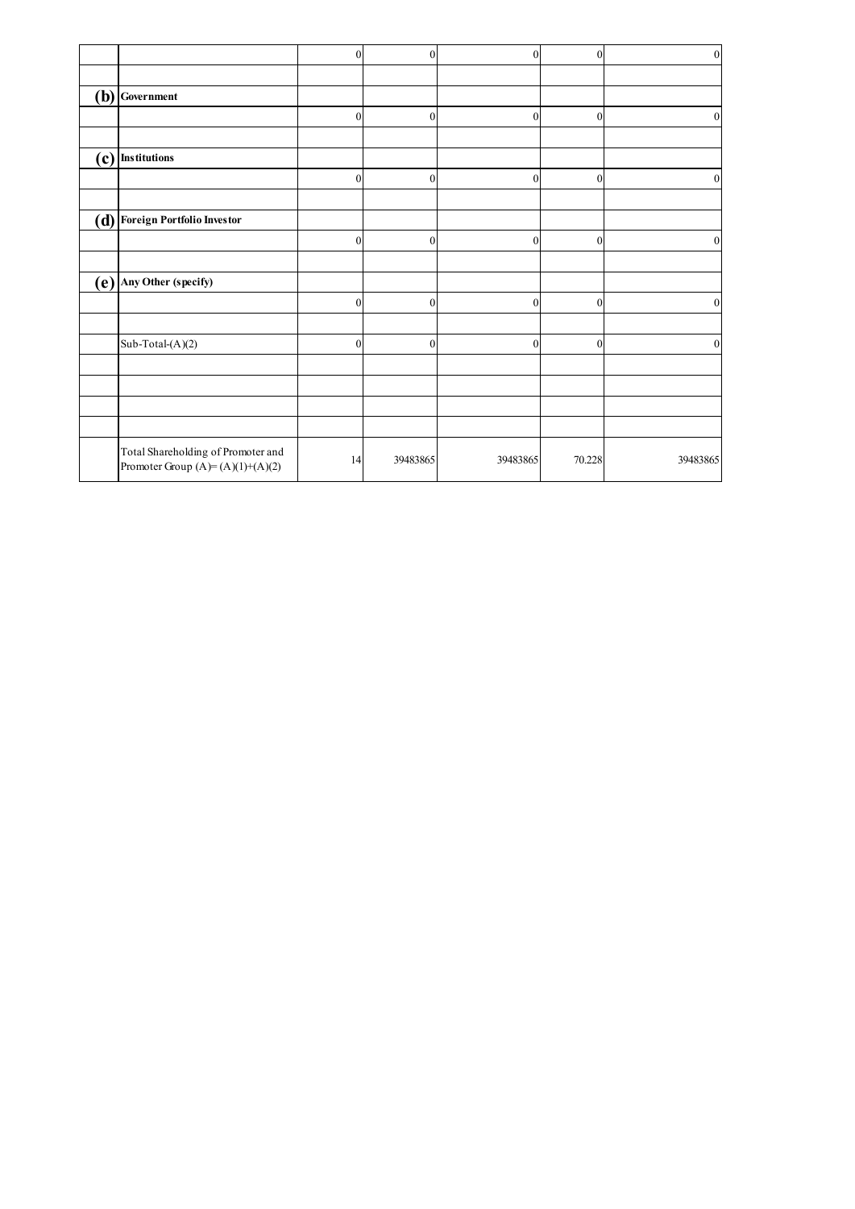|     |                                                                          | $\boldsymbol{0}$ | $\mathbf{0}$     | $\boldsymbol{0}$ | $\overline{0}$   | $\boldsymbol{0}$ |
|-----|--------------------------------------------------------------------------|------------------|------------------|------------------|------------------|------------------|
|     |                                                                          |                  |                  |                  |                  |                  |
| (b) | Government                                                               |                  |                  |                  |                  |                  |
|     |                                                                          | $\boldsymbol{0}$ | $\mathbf{0}$     | 0                | $\boldsymbol{0}$ | $\theta$         |
| (c) | <b>Institutions</b>                                                      |                  |                  |                  |                  |                  |
|     |                                                                          | $\Omega$         | $\theta$         | $\theta$         | $\mathbf{0}$     | $\mathbf{0}$     |
| (d) | <b>Foreign Portfolio Investor</b>                                        |                  |                  |                  |                  |                  |
|     |                                                                          | $\boldsymbol{0}$ | $\boldsymbol{0}$ | $\boldsymbol{0}$ | $\mathbf{0}$     | $\boldsymbol{0}$ |
| (e) | Any Other (specify)                                                      |                  |                  |                  |                  |                  |
|     |                                                                          | $\boldsymbol{0}$ | $\theta$         | $\theta$         | $\boldsymbol{0}$ | $\theta$         |
|     | Sub-Total-(A)(2)                                                         | $\mathbf{0}$     | $\mathbf{0}$     | $\Omega$         | $\mathbf{0}$     | $\mathbf{0}$     |
|     |                                                                          |                  |                  |                  |                  |                  |
|     |                                                                          |                  |                  |                  |                  |                  |
|     | Total Shareholding of Promoter and<br>Promoter Group $(A)=(A)(1)+(A)(2)$ | 14               | 39483865         | 39483865         | 70.228           | 39483865         |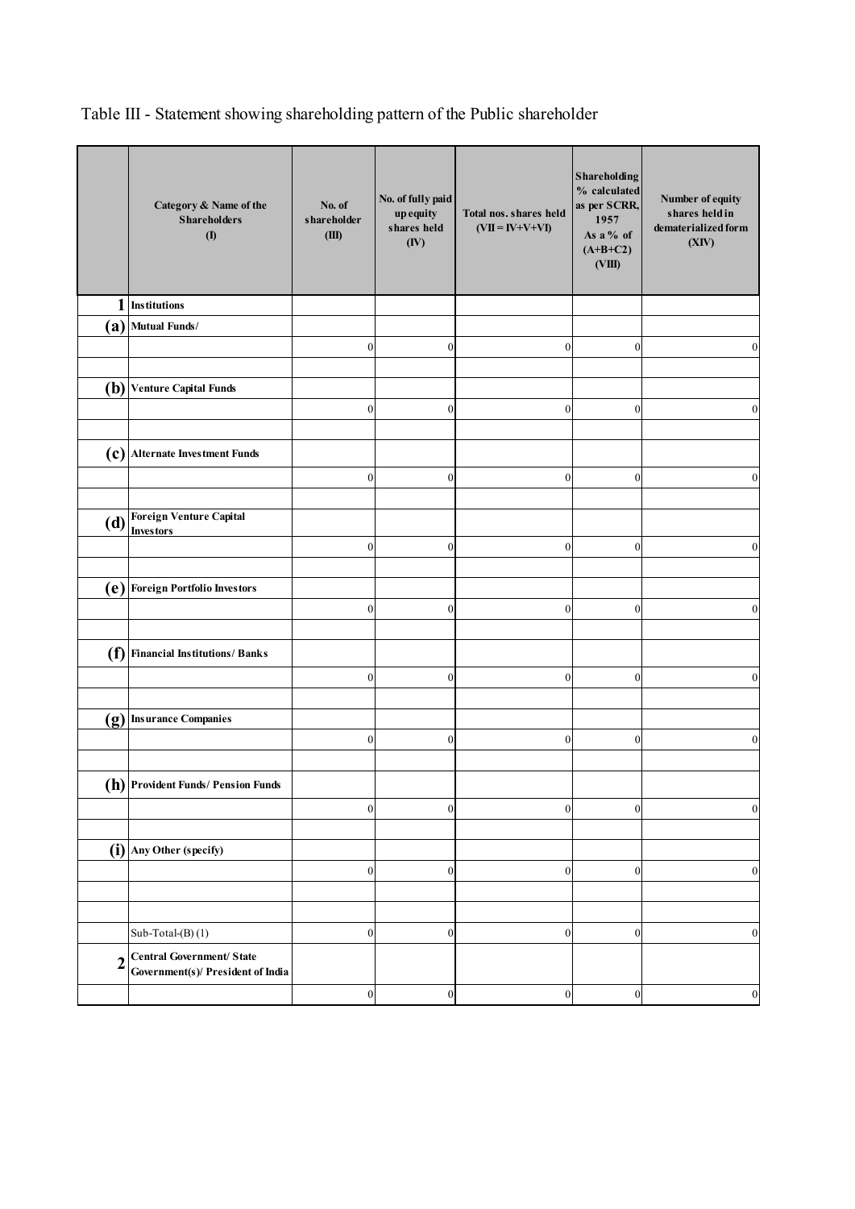Table III - Statement showing shareholding pattern of the Public shareholder

|                | Category & Name of the<br><b>Shareholders</b><br>$($ $\Gamma$         | No. of<br>shareholder<br>(III) | No. of fully paid<br>up equity<br>shares held<br>(IV) | Total nos. shares held<br>$(VII = IV+V+VI)$ | <b>Shareholding</b><br>% calculated<br>as per SCRR,<br>1957<br>As a % of<br>$(A+B+C2)$<br>(VIII) | Number of equity<br>shares held in<br>dematerialized form<br>(XIV) |
|----------------|-----------------------------------------------------------------------|--------------------------------|-------------------------------------------------------|---------------------------------------------|--------------------------------------------------------------------------------------------------|--------------------------------------------------------------------|
| 1              | <b>Institutions</b>                                                   |                                |                                                       |                                             |                                                                                                  |                                                                    |
| $\mathbf{a}$   | <b>Mutual Funds/</b>                                                  |                                |                                                       |                                             |                                                                                                  |                                                                    |
|                |                                                                       | $\boldsymbol{0}$               | $\boldsymbol{0}$                                      | $\boldsymbol{0}$                            | $\overline{0}$                                                                                   | $\boldsymbol{0}$                                                   |
|                |                                                                       |                                |                                                       |                                             |                                                                                                  |                                                                    |
| (b)            | <b>Venture Capital Funds</b>                                          |                                |                                                       |                                             |                                                                                                  |                                                                    |
|                |                                                                       | $\boldsymbol{0}$               | $\mathbf{0}$                                          | $\boldsymbol{0}$                            | $\mathbf{0}$                                                                                     | $\mathbf{0}$                                                       |
|                |                                                                       |                                |                                                       |                                             |                                                                                                  |                                                                    |
|                | (c) Alternate Investment Funds                                        |                                |                                                       |                                             |                                                                                                  |                                                                    |
|                |                                                                       | $\boldsymbol{0}$               | $\mathbf{0}$                                          | $\boldsymbol{0}$                            | $\overline{0}$                                                                                   | $\mathbf{0}$                                                       |
|                |                                                                       |                                |                                                       |                                             |                                                                                                  |                                                                    |
| $\mathbf{d}$   | Foreign Venture Capital<br><b>Investors</b>                           |                                |                                                       |                                             |                                                                                                  |                                                                    |
|                |                                                                       | $\boldsymbol{0}$               | $\mathbf{0}$                                          | $\boldsymbol{0}$                            | $\overline{0}$                                                                                   | $\mathbf{0}$                                                       |
|                |                                                                       |                                |                                                       |                                             |                                                                                                  |                                                                    |
|                | (e) Foreign Portfolio Investors                                       |                                |                                                       |                                             |                                                                                                  |                                                                    |
|                |                                                                       | $\boldsymbol{0}$               | $\boldsymbol{0}$                                      | $\boldsymbol{0}$                            | $\overline{0}$                                                                                   | $\mathbf{0}$                                                       |
|                |                                                                       |                                |                                                       |                                             |                                                                                                  |                                                                    |
|                | (f) Financial Institutions/ Banks                                     |                                |                                                       |                                             |                                                                                                  |                                                                    |
|                |                                                                       | $\boldsymbol{0}$               | $\boldsymbol{0}$                                      | $\boldsymbol{0}$                            | $\overline{0}$                                                                                   | $\mathbf{0}$                                                       |
|                |                                                                       |                                |                                                       |                                             |                                                                                                  |                                                                    |
|                | (g) Insurance Companies                                               |                                |                                                       |                                             |                                                                                                  |                                                                    |
|                |                                                                       | $\boldsymbol{0}$               | 0                                                     | $\boldsymbol{0}$                            | $\boldsymbol{0}$                                                                                 | $\boldsymbol{0}$                                                   |
|                |                                                                       |                                |                                                       |                                             |                                                                                                  |                                                                    |
|                | (h) Provident Funds/ Pension Funds                                    |                                |                                                       |                                             |                                                                                                  |                                                                    |
|                |                                                                       | $\boldsymbol{0}$               | 0                                                     | $\boldsymbol{0}$                            | $\boldsymbol{0}$                                                                                 | $\boldsymbol{0}$                                                   |
|                |                                                                       |                                |                                                       |                                             |                                                                                                  |                                                                    |
|                | $(i)$ Any Other (specify)                                             |                                |                                                       |                                             |                                                                                                  |                                                                    |
|                |                                                                       | $\boldsymbol{0}$               | $\boldsymbol{0}$                                      | $\boldsymbol{0}$                            | $\boldsymbol{0}$                                                                                 | $\boldsymbol{0}$                                                   |
|                |                                                                       |                                |                                                       |                                             |                                                                                                  |                                                                    |
|                | $Sub-Total-(B)(1)$                                                    | $\boldsymbol{0}$               | $\boldsymbol{0}$                                      | $\boldsymbol{0}$                            | $\overline{0}$                                                                                   | $\boldsymbol{0}$                                                   |
|                |                                                                       |                                |                                                       |                                             |                                                                                                  |                                                                    |
| $\overline{2}$ | <b>Central Government/ State</b><br>Government(s)/ President of India |                                |                                                       |                                             |                                                                                                  |                                                                    |
|                |                                                                       | $\boldsymbol{0}$               | $\boldsymbol{0}$                                      | $\boldsymbol{0}$                            | $\boldsymbol{0}$                                                                                 | $\boldsymbol{0}$                                                   |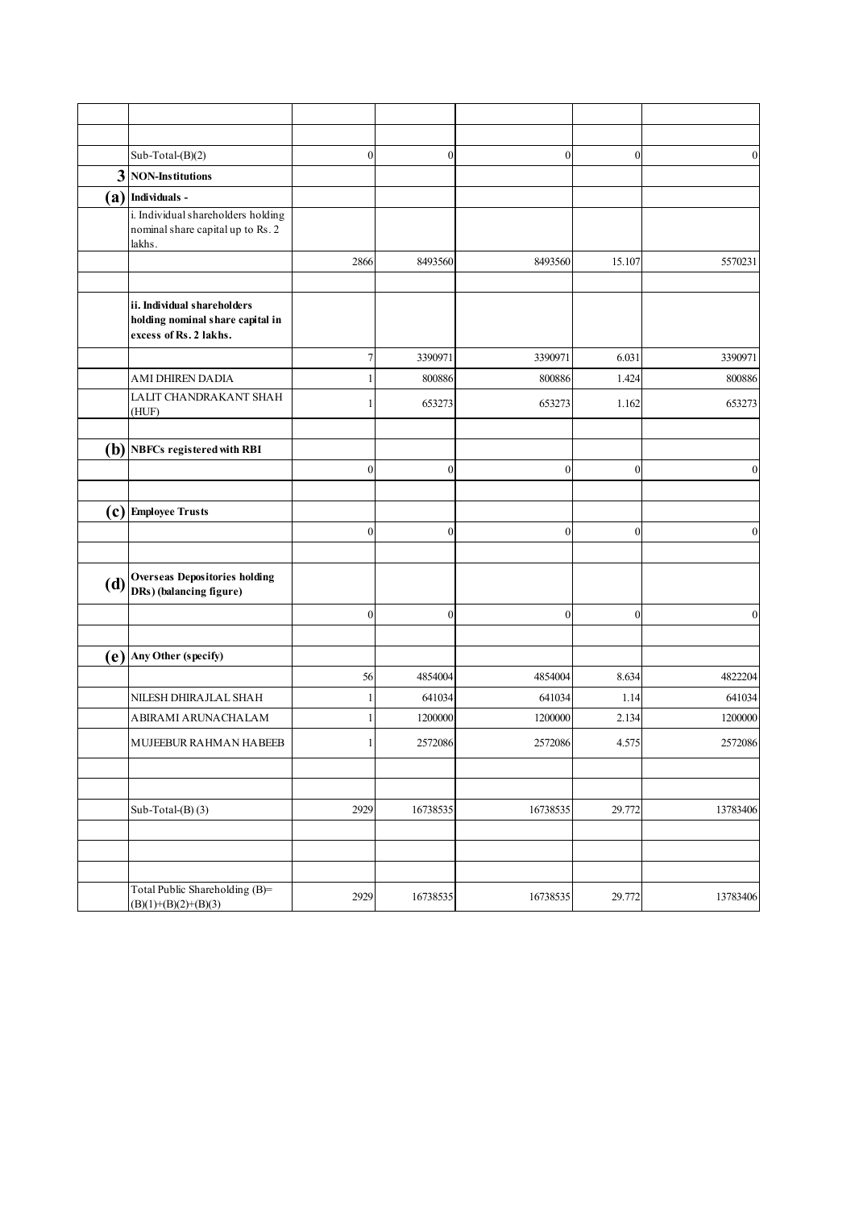|     | Sub-Total-(B)(2)                                                                          | $\boldsymbol{0}$ | $\boldsymbol{0}$ | $\boldsymbol{0}$ | $\boldsymbol{0}$ | $\boldsymbol{0}$ |
|-----|-------------------------------------------------------------------------------------------|------------------|------------------|------------------|------------------|------------------|
| 3   | <b>NON-Institutions</b>                                                                   |                  |                  |                  |                  |                  |
|     | $(a)$ Individuals -                                                                       |                  |                  |                  |                  |                  |
|     | i. Individual shareholders holding<br>nominal share capital up to Rs. 2<br>lakhs.         |                  |                  |                  |                  |                  |
|     |                                                                                           | 2866             | 8493560          | 8493560          | 15.107           | 5570231          |
|     |                                                                                           |                  |                  |                  |                  |                  |
|     | ii. Individual shareholders<br>holding nominal share capital in<br>excess of Rs. 2 lakhs. |                  |                  |                  |                  |                  |
|     |                                                                                           | 7                | 3390971          | 3390971          | 6.031            | 3390971          |
|     | AMI DHIREN DADIA                                                                          |                  | 800886           | 800886           | 1.424            | 800886           |
|     | LALIT CHANDRAKANT SHAH<br>(HUF)                                                           | 1                | 653273           | 653273           | 1.162            | 653273           |
|     | $(b)$ NBFCs registered with RBI                                                           |                  |                  |                  |                  |                  |
|     |                                                                                           | $\boldsymbol{0}$ | $\boldsymbol{0}$ | $\boldsymbol{0}$ | $\boldsymbol{0}$ | $\boldsymbol{0}$ |
|     |                                                                                           |                  |                  |                  |                  |                  |
|     | $(c)$ Employee Trusts                                                                     |                  |                  |                  |                  |                  |
|     |                                                                                           | $\boldsymbol{0}$ | $\boldsymbol{0}$ | $\boldsymbol{0}$ | $\boldsymbol{0}$ | $\boldsymbol{0}$ |
|     |                                                                                           |                  |                  |                  |                  |                  |
| (d) | <b>Overseas Depositories holding</b><br>DRs) (balancing figure)                           |                  |                  |                  |                  |                  |
|     |                                                                                           | $\mathbf{0}$     | $\overline{0}$   | $\boldsymbol{0}$ | $\boldsymbol{0}$ | $\boldsymbol{0}$ |
|     |                                                                                           |                  |                  |                  |                  |                  |
|     | $(e)$ Any Other (specify)                                                                 |                  |                  |                  |                  |                  |
|     |                                                                                           | 56               | 4854004          | 4854004          | 8.634            | 4822204          |
|     | NILESH DHIRAJLAL SHAH                                                                     | 1                | 641034           | 641034           | 1.14             | 641034           |
|     | ABIRAMI ARUNACHALAM                                                                       | 1                | 1200000          | 1200000          | 2.134            | 1200000          |
|     | MUJEEBUR RAHMAN HABEEB                                                                    | 1                | 2572086          | 2572086          | 4.575            | 2572086          |
|     |                                                                                           |                  |                  |                  |                  |                  |
|     | Sub-Total- $(B)$ $(3)$                                                                    | 2929             | 16738535         | 16738535         | 29.772           | 13783406         |
|     |                                                                                           |                  |                  |                  |                  |                  |
|     | Total Public Shareholding (B)=<br>$(B)(1)+(B)(2)+(B)(3)$                                  | 2929             | 16738535         | 16738535         | 29.772           | 13783406         |